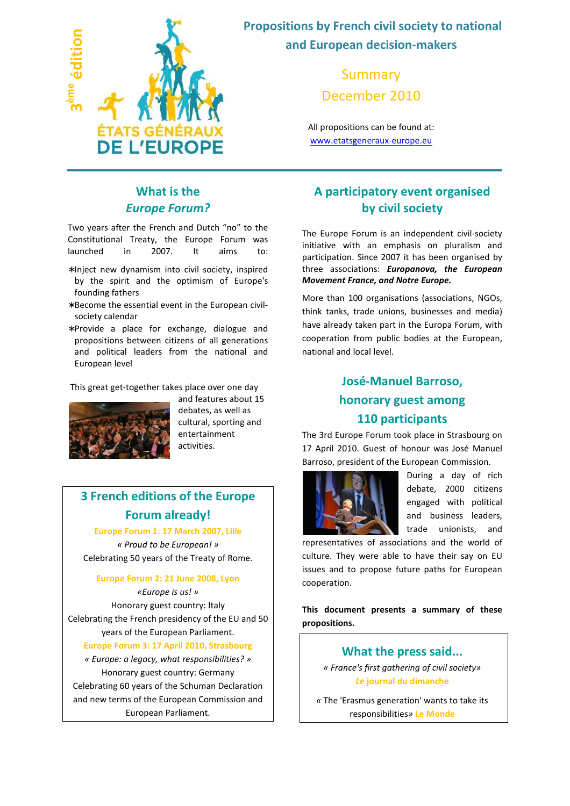

 **Propositions by French civil society to national and European decision-makers** 

> Summary December 2010

All propositions can be found at: www.etatsgeneraux-europe.eu

## **What is the**  *Europe Forum?*

Two years after the French and Dutch "no" to the Constitutional Treaty, the Europe Forum was launched in 2007. It aims to:

- ∗ Inject new dynamism into civil society, inspired by the spirit and the optimism of Europe's founding fathers
- ∗ Become the essential event in the European civilsociety calendar
- ∗ Provide a place for exchange, dialogue and propositions between citizens of all generations and political leaders from the national and European level

This great get-together takes place over one day



and features about 15 debates, as well as cultural, sporting and entertainment activities.

# **3 French editions of the Europe Forum already!**

**Europe Forum 1: 17 March 2007, Lille**

*« Proud to be European! »*  Celebrating 50 years of the Treaty of Rome.

#### **Europe Forum 2: 21 June 2008, Lyon**

*«Europe is us! »* Honorary guest country: Italy Celebrating the French presidency of the EU and 50 years of the European Parliament.

#### **Europe Forum 3: 17 April 2010, Strasbourg**

*« Europe: a legacy, what responsibilities? »* Honorary guest country: Germany Celebrating 60 years of the Schuman Declaration and new terms of the European Commission and European Parliament.

## **A participatory event organised by civil society**

The Europe Forum is an independent civil-society initiative with an emphasis on pluralism and participation. Since 2007 it has been organised by three associations: *Europanova, the European Movement France, and Notre Europe.*

More than 100 organisations (associations, NGOs, think tanks, trade unions, businesses and media) have already taken part in the Europa Forum, with cooperation from public bodies at the European, national and local level.

# **José-Manuel Barroso, honorary guest among 110 participants**

The 3rd Europe Forum took place in Strasbourg on 17 April 2010. Guest of honour was José Manuel Barroso, president of the European Commission.



During a day of rich debate, 2000 citizens engaged with political and business leaders, trade unionists, and

representatives of associations and the world of culture. They were able to have their say on EU issues and to propose future paths for European cooperation.

**This document presents a summary of these propositions.** 

### **What the press said...**

*« France's first gathering of civil society» Le* **journal du dimanche**

*«* The 'Erasmus generation' wants to take its responsibilities*»* **Le Monde**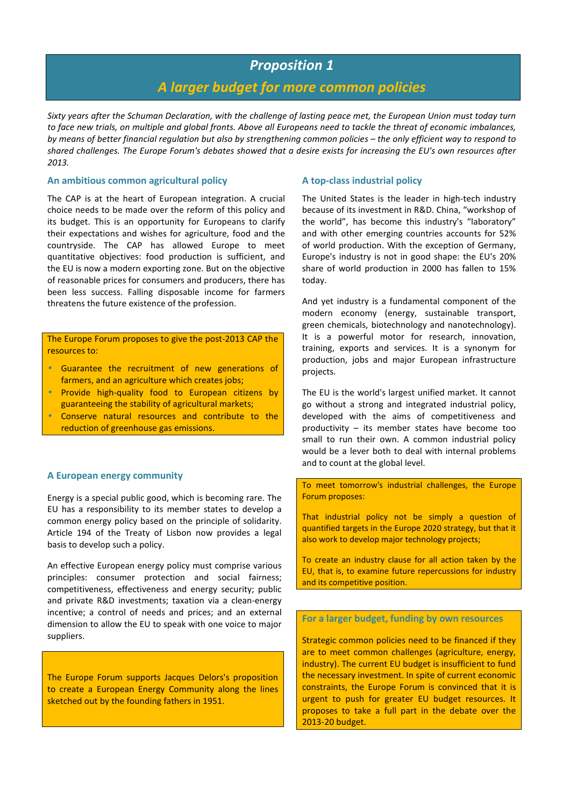### *Proposition 1*

### *A larger budget for more common policies*

*Sixty years after the Schuman Declaration, with the challenge of lasting peace met, the European Union must today turn to face new trials, on multiple and global fronts. Above all Europeans need to tackle the threat of economic imbalances, by means of better financial regulation but also by strengthening common policies – the only efficient way to respond to shared challenges. The Europe Forum's debates showed that a desire exists for increasing the EU's own resources after 2013.*

#### **An ambitious common agricultural policy**

The CAP is at the heart of European integration. A crucial choice needs to be made over the reform of this policy and its budget. This is an opportunity for Europeans to clarify their expectations and wishes for agriculture, food and the countryside. The CAP has allowed Europe to meet quantitative objectives: food production is sufficient, and the EU is now a modern exporting zone. But on the objective of reasonable prices for consumers and producers, there has been less success. Falling disposable income for farmers threatens the future existence of the profession.

The Europe Forum proposes to give the post-2013 CAP the resources to:

- Guarantee the recruitment of new generations of farmers, and an agriculture which creates jobs;
- Provide high-quality food to European citizens by guaranteeing the stability of agricultural markets;
- Conserve natural resources and contribute to the reduction of greenhouse gas emissions.

### **A European energy community**

Energy is a special public good, which is becoming rare. The EU has a responsibility to its member states to develop a common energy policy based on the principle of solidarity. Article 194 of the Treaty of Lisbon now provides a legal basis to develop such a policy.

An effective European energy policy must comprise various principles: consumer protection and social fairness; competitiveness, effectiveness and energy security; public and private R&D investments; taxation via a clean-energy incentive; a control of needs and prices; and an external dimension to allow the EU to speak with one voice to major suppliers.

The Europe Forum supports Jacques Delors's proposition to create a European Energy Community along the lines sketched out by the founding fathers in 1951.

### **A top-class industrial policy**

The United States is the leader in high-tech industry because of its investment in R&D. China, "workshop of the world", has become this industry's "laboratory" and with other emerging countries accounts for 52% of world production. With the exception of Germany, Europe's industry is not in good shape: the EU's 20% share of world production in 2000 has fallen to 15% today.

And yet industry is a fundamental component of the modern economy (energy, sustainable transport, green chemicals, biotechnology and nanotechnology). It is a powerful motor for research, innovation, training, exports and services. It is a synonym for production, jobs and major European infrastructure projects.

The EU is the world's largest unified market. It cannot go without a strong and integrated industrial policy, developed with the aims of competitiveness and productivity – its member states have become too small to run their own. A common industrial policy would be a lever both to deal with internal problems and to count at the global level.

To meet tomorrow's industrial challenges, the Europe Forum proposes:

That industrial policy not be simply a question of quantified targets in the Europe 2020 strategy, but that it also work to develop major technology projects;

To create an industry clause for all action taken by the EU, that is, to examine future repercussions for industry and its competitive position.

**For a larger budget, funding by own resources** 

Strategic common policies need to be financed if they are to meet common challenges (agriculture, energy, industry). The current EU budget is insufficient to fund the necessary investment. In spite of current economic constraints, the Europe Forum is convinced that it is urgent to push for greater EU budget resources. It proposes to take a full part in the debate over the 2013-20 budget.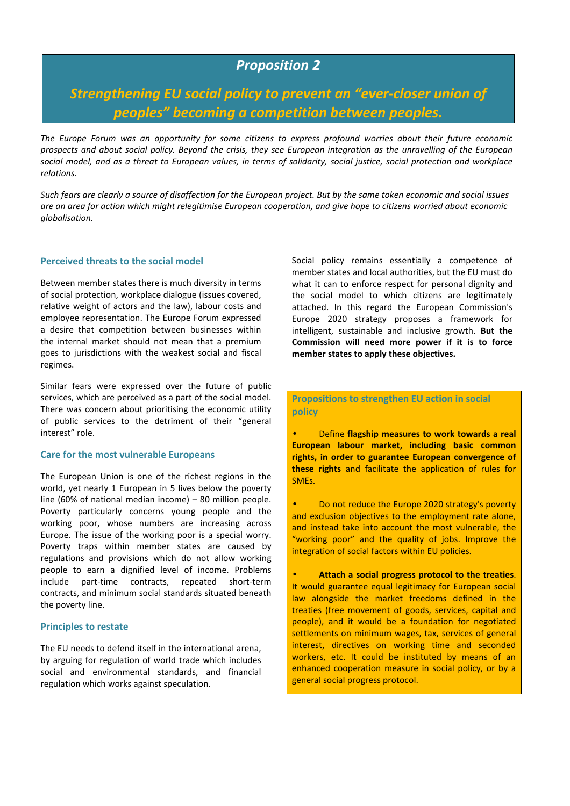## *Proposition 2*

# *Strengthening EU social policy to prevent an "ever-closer union of peoples" becoming a competition between peoples.*

*The Europe Forum was an opportunity for some citizens to express profound worries about their future economic prospects and about social policy. Beyond the crisis, they see European integration as the unravelling of the European social model, and as a threat to European values, in terms of solidarity, social justice, social protection and workplace relations.* 

*Such fears are clearly a source of disaffection for the European project. But by the same token economic and social issues are an area for action which might relegitimise European cooperation, and give hope to citizens worried about economic globalisation.* 

#### **Perceived threats to the social model**

Between member states there is much diversity in terms of social protection, workplace dialogue (issues covered, relative weight of actors and the law), labour costs and employee representation. The Europe Forum expressed a desire that competition between businesses within the internal market should not mean that a premium goes to jurisdictions with the weakest social and fiscal regimes.

Similar fears were expressed over the future of public services, which are perceived as a part of the social model. There was concern about prioritising the economic utility of public services to the detriment of their "general interest" role.

#### **Care for the most vulnerable Europeans**

The European Union is one of the richest regions in the world, yet nearly 1 European in 5 lives below the poverty line (60% of national median income) – 80 million people. Poverty particularly concerns young people and the working poor, whose numbers are increasing across Europe. The issue of the working poor is a special worry. Poverty traps within member states are caused by regulations and provisions which do not allow working people to earn a dignified level of income. Problems include part-time contracts, repeated short-term contracts, and minimum social standards situated beneath the poverty line.

#### **Principles to restate**

The EU needs to defend itself in the international arena, by arguing for regulation of world trade which includes social and environmental standards, and financial regulation which works against speculation.

Social policy remains essentially a competence of member states and local authorities, but the EU must do what it can to enforce respect for personal dignity and the social model to which citizens are legitimately attached. In this regard the European Commission's Europe 2020 strategy proposes a framework for intelligent, sustainable and inclusive growth. **But the Commission will need more power if it is to force member states to apply these objectives.**

**Propositions to strengthen EU action in social policy** 

• Define **flagship measures to work towards a real European labour market, including basic common rights, in order to guarantee European convergence of these rights** and facilitate the application of rules for SMEs.

• Do not reduce the Europe 2020 strategy's poverty and exclusion objectives to the employment rate alone, and instead take into account the most vulnerable, the "working poor" and the quality of jobs. Improve the integration of social factors within EU policies.

• **Attach a social progress protocol to the treaties**. It would guarantee equal legitimacy for European social law alongside the market freedoms defined in the treaties (free movement of goods, services, capital and people), and it would be a foundation for negotiated settlements on minimum wages, tax, services of general interest, directives on working time and seconded workers, etc. It could be instituted by means of an enhanced cooperation measure in social policy, or by a general social progress protocol.